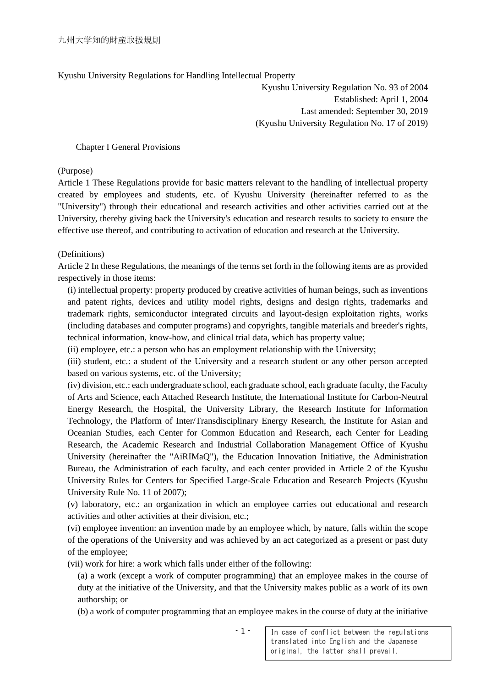# Kyushu University Regulations for Handling Intellectual Property

Kyushu University Regulation No. 93 of 2004 Established: April 1, 2004 Last amended: September 30, 2019 (Kyushu University Regulation No. 17 of 2019)

#### Chapter I General Provisions

(Purpose)

Article 1 These Regulations provide for basic matters relevant to the handling of intellectual property created by employees and students, etc. of Kyushu University (hereinafter referred to as the "University") through their educational and research activities and other activities carried out at the University, thereby giving back the University's education and research results to society to ensure the effective use thereof, and contributing to activation of education and research at the University.

#### (Definitions)

Article 2 In these Regulations, the meanings of the terms set forth in the following items are as provided respectively in those items:

(i) intellectual property: property produced by creative activities of human beings, such as inventions and patent rights, devices and utility model rights, designs and design rights, trademarks and trademark rights, semiconductor integrated circuits and layout-design exploitation rights, works (including databases and computer programs) and copyrights, tangible materials and breeder's rights, technical information, know-how, and clinical trial data, which has property value;

(ii) employee, etc.: a person who has an employment relationship with the University;

(iii) student, etc.: a student of the University and a research student or any other person accepted based on various systems, etc. of the University;

(iv) division, etc.: each undergraduate school, each graduate school, each graduate faculty, the Faculty of Arts and Science, each Attached Research Institute, the International Institute for Carbon-Neutral Energy Research, the Hospital, the University Library, the Research Institute for Information Technology, the Platform of Inter/Transdisciplinary Energy Research, the Institute for Asian and Oceanian Studies, each Center for Common Education and Research, each Center for Leading Research, the Academic Research and Industrial Collaboration Management Office of Kyushu University (hereinafter the "AiRIMaQ"), the Education Innovation Initiative, the Administration Bureau, the Administration of each faculty, and each center provided in Article 2 of the Kyushu University Rules for Centers for Specified Large-Scale Education and Research Projects (Kyushu University Rule No. 11 of 2007);

(v) laboratory, etc.: an organization in which an employee carries out educational and research activities and other activities at their division, etc.;

(vi) employee invention: an invention made by an employee which, by nature, falls within the scope of the operations of the University and was achieved by an act categorized as a present or past duty of the employee;

(vii) work for hire: a work which falls under either of the following:

(a) a work (except a work of computer programming) that an employee makes in the course of duty at the initiative of the University, and that the University makes public as a work of its own authorship; or

(b) a work of computer programming that an employee makes in the course of duty at the initiative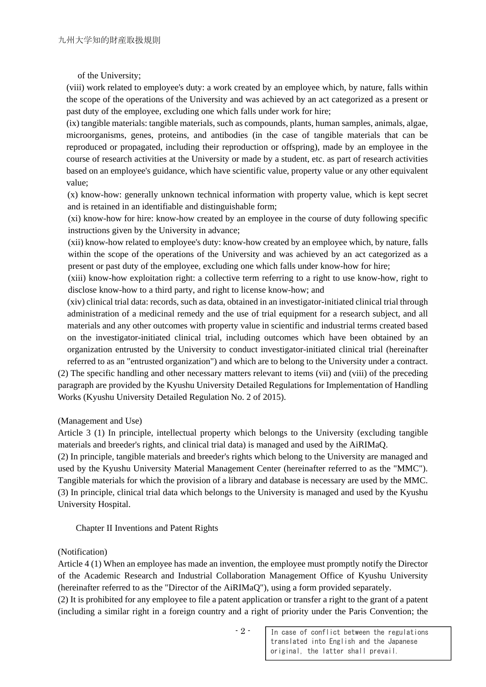of the University;

(viii) work related to employee's duty: a work created by an employee which, by nature, falls within the scope of the operations of the University and was achieved by an act categorized as a present or past duty of the employee, excluding one which falls under work for hire;

(ix) tangible materials: tangible materials, such as compounds, plants, human samples, animals, algae, microorganisms, genes, proteins, and antibodies (in the case of tangible materials that can be reproduced or propagated, including their reproduction or offspring), made by an employee in the course of research activities at the University or made by a student, etc. as part of research activities based on an employee's guidance, which have scientific value, property value or any other equivalent value;

(x) know-how: generally unknown technical information with property value, which is kept secret and is retained in an identifiable and distinguishable form;

(xi) know-how for hire: know-how created by an employee in the course of duty following specific instructions given by the University in advance;

(xii) know-how related to employee's duty: know-how created by an employee which, by nature, falls within the scope of the operations of the University and was achieved by an act categorized as a present or past duty of the employee, excluding one which falls under know-how for hire;

(xiii) know-how exploitation right: a collective term referring to a right to use know-how, right to disclose know-how to a third party, and right to license know-how; and

(xiv) clinical trial data: records, such as data, obtained in an investigator-initiated clinical trial through administration of a medicinal remedy and the use of trial equipment for a research subject, and all materials and any other outcomes with property value in scientific and industrial terms created based on the investigator-initiated clinical trial, including outcomes which have been obtained by an organization entrusted by the University to conduct investigator-initiated clinical trial (hereinafter

referred to as an "entrusted organization") and which are to belong to the University under a contract. (2) The specific handling and other necessary matters relevant to items (vii) and (viii) of the preceding paragraph are provided by the Kyushu University Detailed Regulations for Implementation of Handling Works (Kyushu University Detailed Regulation No. 2 of 2015).

#### (Management and Use)

Article 3 (1) In principle, intellectual property which belongs to the University (excluding tangible materials and breeder's rights, and clinical trial data) is managed and used by the AiRIMaQ.

(2) In principle, tangible materials and breeder's rights which belong to the University are managed and used by the Kyushu University Material Management Center (hereinafter referred to as the "MMC"). Tangible materials for which the provision of a library and database is necessary are used by the MMC. (3) In principle, clinical trial data which belongs to the University is managed and used by the Kyushu University Hospital.

Chapter II Inventions and Patent Rights

# (Notification)

Article 4 (1) When an employee has made an invention, the employee must promptly notify the Director of the Academic Research and Industrial Collaboration Management Office of Kyushu University (hereinafter referred to as the "Director of the AiRIMaQ"), using a form provided separately.

(2) It is prohibited for any employee to file a patent application or transfer a right to the grant of a patent (including a similar right in a foreign country and a right of priority under the Paris Convention; the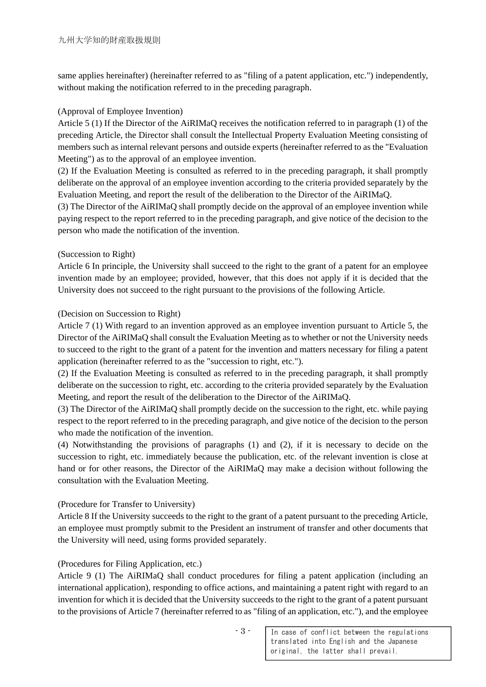same applies hereinafter) (hereinafter referred to as "filing of a patent application, etc.") independently, without making the notification referred to in the preceding paragraph.

#### (Approval of Employee Invention)

Article 5 (1) If the Director of the AiRIMaQ receives the notification referred to in paragraph (1) of the preceding Article, the Director shall consult the Intellectual Property Evaluation Meeting consisting of members such as internal relevant persons and outside experts (hereinafter referred to as the "Evaluation Meeting") as to the approval of an employee invention.

(2) If the Evaluation Meeting is consulted as referred to in the preceding paragraph, it shall promptly deliberate on the approval of an employee invention according to the criteria provided separately by the Evaluation Meeting, and report the result of the deliberation to the Director of the AiRIMaQ.

(3) The Director of the AiRIMaQ shall promptly decide on the approval of an employee invention while paying respect to the report referred to in the preceding paragraph, and give notice of the decision to the person who made the notification of the invention.

#### (Succession to Right)

Article 6 In principle, the University shall succeed to the right to the grant of a patent for an employee invention made by an employee; provided, however, that this does not apply if it is decided that the University does not succeed to the right pursuant to the provisions of the following Article.

# (Decision on Succession to Right)

Article 7 (1) With regard to an invention approved as an employee invention pursuant to Article 5, the Director of the AiRIMaQ shall consult the Evaluation Meeting as to whether or not the University needs to succeed to the right to the grant of a patent for the invention and matters necessary for filing a patent application (hereinafter referred to as the "succession to right, etc.").

(2) If the Evaluation Meeting is consulted as referred to in the preceding paragraph, it shall promptly deliberate on the succession to right, etc. according to the criteria provided separately by the Evaluation Meeting, and report the result of the deliberation to the Director of the AiRIMaQ.

(3) The Director of the AiRIMaQ shall promptly decide on the succession to the right, etc. while paying respect to the report referred to in the preceding paragraph, and give notice of the decision to the person who made the notification of the invention.

(4) Notwithstanding the provisions of paragraphs (1) and (2), if it is necessary to decide on the succession to right, etc. immediately because the publication, etc. of the relevant invention is close at hand or for other reasons, the Director of the AiRIMaQ may make a decision without following the consultation with the Evaluation Meeting.

# (Procedure for Transfer to University)

Article 8 If the University succeeds to the right to the grant of a patent pursuant to the preceding Article, an employee must promptly submit to the President an instrument of transfer and other documents that the University will need, using forms provided separately.

# (Procedures for Filing Application, etc.)

Article 9 (1) The AiRIMaQ shall conduct procedures for filing a patent application (including an international application), responding to office actions, and maintaining a patent right with regard to an invention for which it is decided that the University succeeds to the right to the grant of a patent pursuant to the provisions of Article 7 (hereinafter referred to as "filing of an application, etc."), and the employee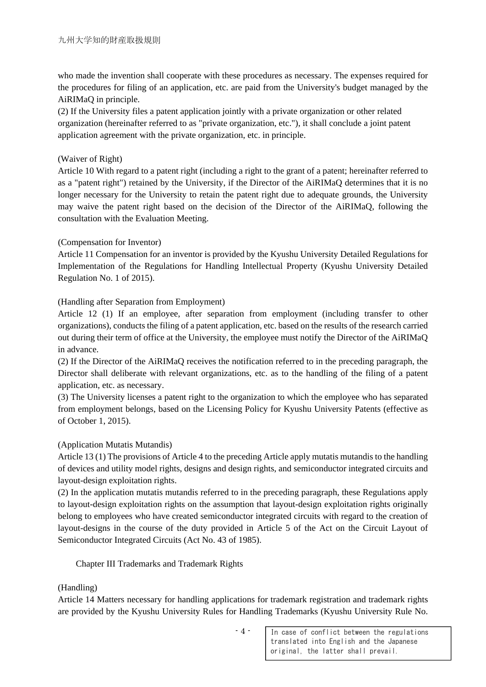who made the invention shall cooperate with these procedures as necessary. The expenses required for the procedures for filing of an application, etc. are paid from the University's budget managed by the AiRIMaQ in principle.

(2) If the University files a patent application jointly with a private organization or other related organization (hereinafter referred to as "private organization, etc."), it shall conclude a joint patent application agreement with the private organization, etc. in principle.

# (Waiver of Right)

Article 10 With regard to a patent right (including a right to the grant of a patent; hereinafter referred to as a "patent right") retained by the University, if the Director of the AiRIMaQ determines that it is no longer necessary for the University to retain the patent right due to adequate grounds, the University may waive the patent right based on the decision of the Director of the AiRIMaQ, following the consultation with the Evaluation Meeting.

# (Compensation for Inventor)

Article 11 Compensation for an inventor is provided by the Kyushu University Detailed Regulations for Implementation of the Regulations for Handling Intellectual Property (Kyushu University Detailed Regulation No. 1 of 2015).

# (Handling after Separation from Employment)

Article 12 (1) If an employee, after separation from employment (including transfer to other organizations), conducts the filing of a patent application, etc. based on the results of the research carried out during their term of office at the University, the employee must notify the Director of the AiRIMaQ in advance.

(2) If the Director of the AiRIMaQ receives the notification referred to in the preceding paragraph, the Director shall deliberate with relevant organizations, etc. as to the handling of the filing of a patent application, etc. as necessary.

(3) The University licenses a patent right to the organization to which the employee who has separated from employment belongs, based on the Licensing Policy for Kyushu University Patents (effective as of October 1, 2015).

#### (Application Mutatis Mutandis)

Article 13 (1) The provisions of Article 4 to the preceding Article apply mutatis mutandis to the handling of devices and utility model rights, designs and design rights, and semiconductor integrated circuits and layout-design exploitation rights.

(2) In the application mutatis mutandis referred to in the preceding paragraph, these Regulations apply to layout-design exploitation rights on the assumption that layout-design exploitation rights originally belong to employees who have created semiconductor integrated circuits with regard to the creation of layout-designs in the course of the duty provided in Article 5 of the Act on the Circuit Layout of Semiconductor Integrated Circuits (Act No. 43 of 1985).

#### Chapter III Trademarks and Trademark Rights

# (Handling)

Article 14 Matters necessary for handling applications for trademark registration and trademark rights are provided by the Kyushu University Rules for Handling Trademarks (Kyushu University Rule No.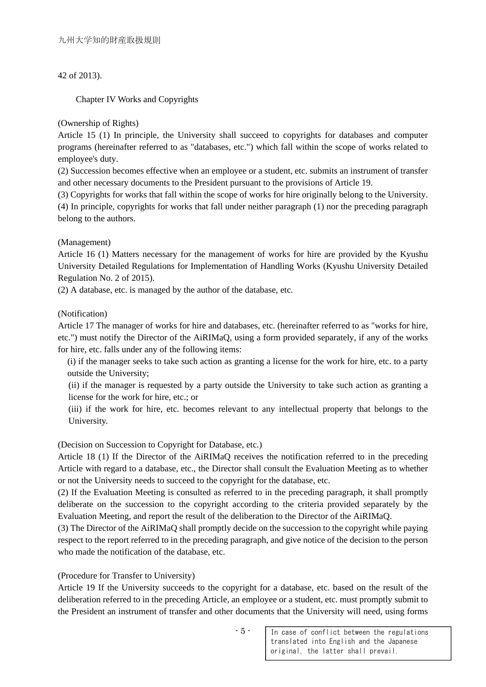# 42 of 2013).

Chapter IV Works and Copyrights

# (Ownership of Rights)

Article 15 (1) In principle, the University shall succeed to copyrights for databases and computer programs (hereinafter referred to as "databases, etc.") which fall within the scope of works related to employee's duty.

(2) Succession becomes effective when an employee or a student, etc. submits an instrument of transfer and other necessary documents to the President pursuant to the provisions of Article 19.

(3) Copyrights for works that fall within the scope of works for hire originally belong to the University.

(4) In principle, copyrights for works that fall under neither paragraph (1) nor the preceding paragraph belong to the authors.

# (Management)

Article 16 (1) Matters necessary for the management of works for hire are provided by the Kyushu University Detailed Regulations for Implementation of Handling Works (Kyushu University Detailed Regulation No. 2 of 2015).

(2) A database, etc. is managed by the author of the database, etc.

# (Notification)

Article 17 The manager of works for hire and databases, etc. (hereinafter referred to as "works for hire, etc.") must notify the Director of the AiRIMaQ, using a form provided separately, if any of the works for hire, etc. falls under any of the following items:

(i) if the manager seeks to take such action as granting a license for the work for hire, etc. to a party outside the University;

(ii) if the manager is requested by a party outside the University to take such action as granting a license for the work for hire, etc.; or

(iii) if the work for hire, etc. becomes relevant to any intellectual property that belongs to the University.

# (Decision on Succession to Copyright for Database, etc.)

Article 18 (1) If the Director of the AiRIMaQ receives the notification referred to in the preceding Article with regard to a database, etc., the Director shall consult the Evaluation Meeting as to whether or not the University needs to succeed to the copyright for the database, etc.

(2) If the Evaluation Meeting is consulted as referred to in the preceding paragraph, it shall promptly deliberate on the succession to the copyright according to the criteria provided separately by the Evaluation Meeting, and report the result of the deliberation to the Director of the AiRIMaQ.

(3) The Director of the AiRIMaQ shall promptly decide on the succession to the copyright while paying respect to the report referred to in the preceding paragraph, and give notice of the decision to the person who made the notification of the database, etc.

# (Procedure for Transfer to University)

Article 19 If the University succeeds to the copyright for a database, etc. based on the result of the deliberation referred to in the preceding Article, an employee or a student, etc. must promptly submit to the President an instrument of transfer and other documents that the University will need, using forms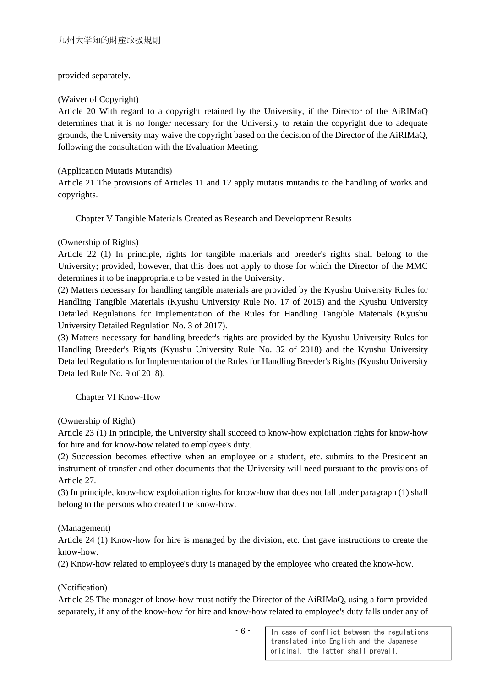#### provided separately.

# (Waiver of Copyright)

Article 20 With regard to a copyright retained by the University, if the Director of the AiRIMaQ determines that it is no longer necessary for the University to retain the copyright due to adequate grounds, the University may waive the copyright based on the decision of the Director of the AiRIMaQ, following the consultation with the Evaluation Meeting.

# (Application Mutatis Mutandis)

Article 21 The provisions of Articles 11 and 12 apply mutatis mutandis to the handling of works and copyrights.

Chapter V Tangible Materials Created as Research and Development Results

# (Ownership of Rights)

Article 22 (1) In principle, rights for tangible materials and breeder's rights shall belong to the University; provided, however, that this does not apply to those for which the Director of the MMC determines it to be inappropriate to be vested in the University.

(2) Matters necessary for handling tangible materials are provided by the Kyushu University Rules for Handling Tangible Materials (Kyushu University Rule No. 17 of 2015) and the Kyushu University Detailed Regulations for Implementation of the Rules for Handling Tangible Materials (Kyushu University Detailed Regulation No. 3 of 2017).

(3) Matters necessary for handling breeder's rights are provided by the Kyushu University Rules for Handling Breeder's Rights (Kyushu University Rule No. 32 of 2018) and the Kyushu University Detailed Regulations for Implementation of the Rules for Handling Breeder's Rights (Kyushu University Detailed Rule No. 9 of 2018).

Chapter VI Know-How

(Ownership of Right)

Article 23 (1) In principle, the University shall succeed to know-how exploitation rights for know-how for hire and for know-how related to employee's duty.

(2) Succession becomes effective when an employee or a student, etc. submits to the President an instrument of transfer and other documents that the University will need pursuant to the provisions of Article 27.

(3) In principle, know-how exploitation rights for know-how that does not fall under paragraph (1) shall belong to the persons who created the know-how.

(Management)

Article 24 (1) Know-how for hire is managed by the division, etc. that gave instructions to create the know-how.

(2) Know-how related to employee's duty is managed by the employee who created the know-how.

(Notification)

Article 25 The manager of know-how must notify the Director of the AiRIMaQ, using a form provided separately, if any of the know-how for hire and know-how related to employee's duty falls under any of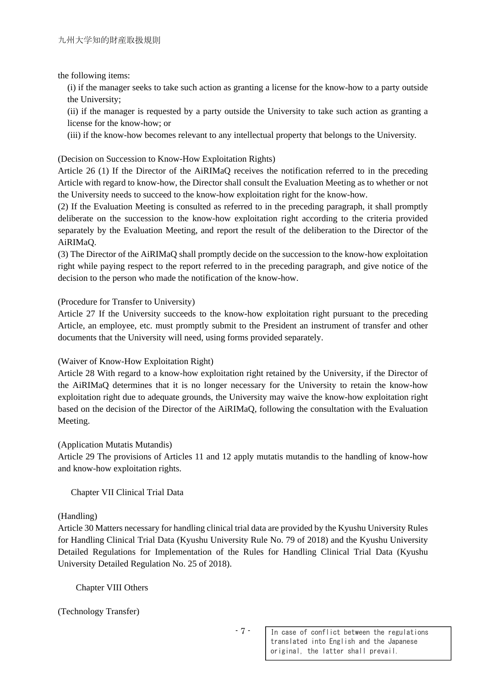the following items:

(i) if the manager seeks to take such action as granting a license for the know-how to a party outside the University;

(ii) if the manager is requested by a party outside the University to take such action as granting a license for the know-how; or

(iii) if the know-how becomes relevant to any intellectual property that belongs to the University.

(Decision on Succession to Know-How Exploitation Rights)

Article 26 (1) If the Director of the AiRIMaQ receives the notification referred to in the preceding Article with regard to know-how, the Director shall consult the Evaluation Meeting as to whether or not the University needs to succeed to the know-how exploitation right for the know-how.

(2) If the Evaluation Meeting is consulted as referred to in the preceding paragraph, it shall promptly deliberate on the succession to the know-how exploitation right according to the criteria provided separately by the Evaluation Meeting, and report the result of the deliberation to the Director of the AiRIMaQ.

(3) The Director of the AiRIMaQ shall promptly decide on the succession to the know-how exploitation right while paying respect to the report referred to in the preceding paragraph, and give notice of the decision to the person who made the notification of the know-how.

(Procedure for Transfer to University)

Article 27 If the University succeeds to the know-how exploitation right pursuant to the preceding Article, an employee, etc. must promptly submit to the President an instrument of transfer and other documents that the University will need, using forms provided separately.

(Waiver of Know-How Exploitation Right)

Article 28 With regard to a know-how exploitation right retained by the University, if the Director of the AiRIMaQ determines that it is no longer necessary for the University to retain the know-how exploitation right due to adequate grounds, the University may waive the know-how exploitation right based on the decision of the Director of the AiRIMaQ, following the consultation with the Evaluation Meeting.

(Application Mutatis Mutandis)

Article 29 The provisions of Articles 11 and 12 apply mutatis mutandis to the handling of know-how and know-how exploitation rights.

Chapter VII Clinical Trial Data

#### (Handling)

Article 30 Matters necessary for handling clinical trial data are provided by the Kyushu University Rules for Handling Clinical Trial Data (Kyushu University Rule No. 79 of 2018) and the Kyushu University Detailed Regulations for Implementation of the Rules for Handling Clinical Trial Data (Kyushu University Detailed Regulation No. 25 of 2018).

Chapter VIII Others

(Technology Transfer)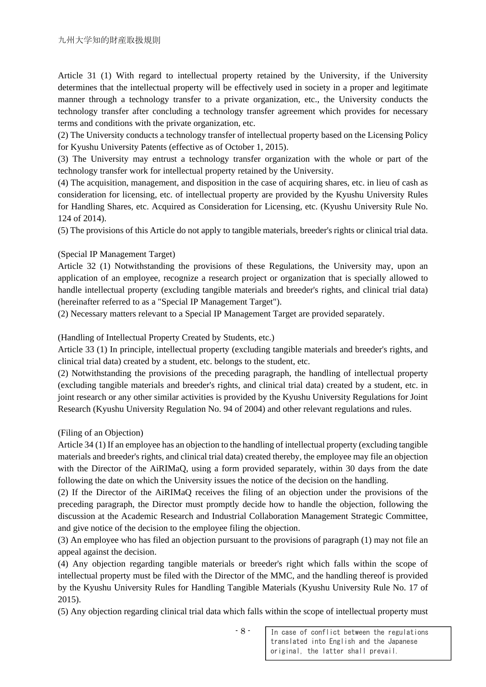Article 31 (1) With regard to intellectual property retained by the University, if the University determines that the intellectual property will be effectively used in society in a proper and legitimate manner through a technology transfer to a private organization, etc., the University conducts the technology transfer after concluding a technology transfer agreement which provides for necessary terms and conditions with the private organization, etc.

(2) The University conducts a technology transfer of intellectual property based on the Licensing Policy for Kyushu University Patents (effective as of October 1, 2015).

(3) The University may entrust a technology transfer organization with the whole or part of the technology transfer work for intellectual property retained by the University.

(4) The acquisition, management, and disposition in the case of acquiring shares, etc. in lieu of cash as consideration for licensing, etc. of intellectual property are provided by the Kyushu University Rules for Handling Shares, etc. Acquired as Consideration for Licensing, etc. (Kyushu University Rule No. 124 of 2014).

(5) The provisions of this Article do not apply to tangible materials, breeder's rights or clinical trial data.

#### (Special IP Management Target)

Article 32 (1) Notwithstanding the provisions of these Regulations, the University may, upon an application of an employee, recognize a research project or organization that is specially allowed to handle intellectual property (excluding tangible materials and breeder's rights, and clinical trial data) (hereinafter referred to as a "Special IP Management Target").

(2) Necessary matters relevant to a Special IP Management Target are provided separately.

(Handling of Intellectual Property Created by Students, etc.)

Article 33 (1) In principle, intellectual property (excluding tangible materials and breeder's rights, and clinical trial data) created by a student, etc. belongs to the student, etc.

(2) Notwithstanding the provisions of the preceding paragraph, the handling of intellectual property (excluding tangible materials and breeder's rights, and clinical trial data) created by a student, etc. in joint research or any other similar activities is provided by the Kyushu University Regulations for Joint Research (Kyushu University Regulation No. 94 of 2004) and other relevant regulations and rules.

(Filing of an Objection)

Article 34 (1) If an employee has an objection to the handling of intellectual property (excluding tangible materials and breeder's rights, and clinical trial data) created thereby, the employee may file an objection with the Director of the AiRIMaQ, using a form provided separately, within 30 days from the date following the date on which the University issues the notice of the decision on the handling.

(2) If the Director of the AiRIMaQ receives the filing of an objection under the provisions of the preceding paragraph, the Director must promptly decide how to handle the objection, following the discussion at the Academic Research and Industrial Collaboration Management Strategic Committee, and give notice of the decision to the employee filing the objection.

(3) An employee who has filed an objection pursuant to the provisions of paragraph (1) may not file an appeal against the decision.

(4) Any objection regarding tangible materials or breeder's right which falls within the scope of intellectual property must be filed with the Director of the MMC, and the handling thereof is provided by the Kyushu University Rules for Handling Tangible Materials (Kyushu University Rule No. 17 of 2015).

(5) Any objection regarding clinical trial data which falls within the scope of intellectual property must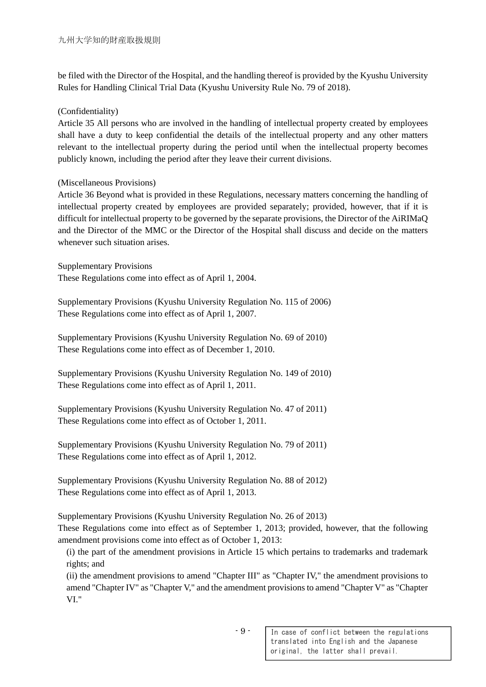be filed with the Director of the Hospital, and the handling thereof is provided by the Kyushu University Rules for Handling Clinical Trial Data (Kyushu University Rule No. 79 of 2018).

# (Confidentiality)

Article 35 All persons who are involved in the handling of intellectual property created by employees shall have a duty to keep confidential the details of the intellectual property and any other matters relevant to the intellectual property during the period until when the intellectual property becomes publicly known, including the period after they leave their current divisions.

# (Miscellaneous Provisions)

Article 36 Beyond what is provided in these Regulations, necessary matters concerning the handling of intellectual property created by employees are provided separately; provided, however, that if it is difficult for intellectual property to be governed by the separate provisions, the Director of the AiRIMaQ and the Director of the MMC or the Director of the Hospital shall discuss and decide on the matters whenever such situation arises.

Supplementary Provisions These Regulations come into effect as of April 1, 2004.

Supplementary Provisions (Kyushu University Regulation No. 115 of 2006) These Regulations come into effect as of April 1, 2007.

Supplementary Provisions (Kyushu University Regulation No. 69 of 2010) These Regulations come into effect as of December 1, 2010.

Supplementary Provisions (Kyushu University Regulation No. 149 of 2010) These Regulations come into effect as of April 1, 2011.

Supplementary Provisions (Kyushu University Regulation No. 47 of 2011) These Regulations come into effect as of October 1, 2011.

Supplementary Provisions (Kyushu University Regulation No. 79 of 2011) These Regulations come into effect as of April 1, 2012.

Supplementary Provisions (Kyushu University Regulation No. 88 of 2012) These Regulations come into effect as of April 1, 2013.

Supplementary Provisions (Kyushu University Regulation No. 26 of 2013)

These Regulations come into effect as of September 1, 2013; provided, however, that the following amendment provisions come into effect as of October 1, 2013:

(i) the part of the amendment provisions in Article 15 which pertains to trademarks and trademark rights; and

(ii) the amendment provisions to amend "Chapter III" as "Chapter IV," the amendment provisions to amend "Chapter IV" as "Chapter V," and the amendment provisions to amend "Chapter V" as "Chapter VI."